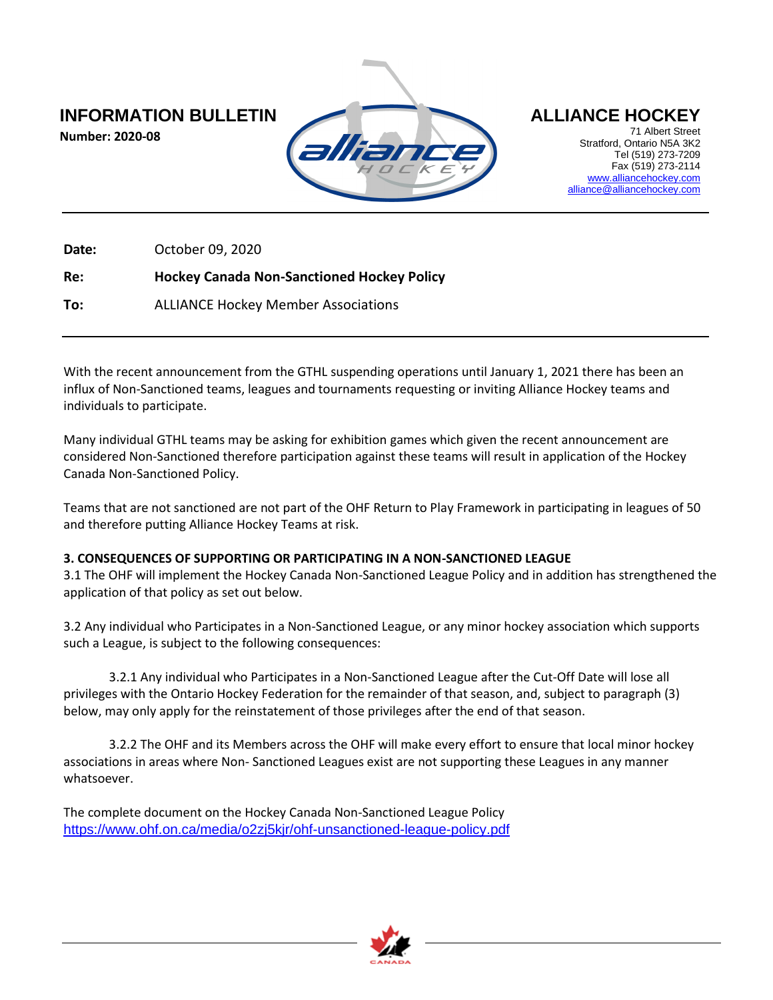**Number: 2020-08**



71 Albert Street Stratford, Ontario N5A 3K2 Tel (519) 273-7209 Fax (519) 273-2114 [www.alliancehockey.com](http://www.alliancehockey.com/) [alliance@alliancehockey.com](mailto:alliance@alliancehockey.com)

**Date:** October 09, 2020

**Re: Hockey Canada Non-Sanctioned Hockey Policy**

**To:** ALLIANCE Hockey Member Associations

With the recent announcement from the GTHL suspending operations until January 1, 2021 there has been an influx of Non-Sanctioned teams, leagues and tournaments requesting or inviting Alliance Hockey teams and individuals to participate.

Many individual GTHL teams may be asking for exhibition games which given the recent announcement are considered Non-Sanctioned therefore participation against these teams will result in application of the Hockey Canada Non-Sanctioned Policy.

Teams that are not sanctioned are not part of the OHF Return to Play Framework in participating in leagues of 50 and therefore putting Alliance Hockey Teams at risk.

## **3. CONSEQUENCES OF SUPPORTING OR PARTICIPATING IN A NON-SANCTIONED LEAGUE**

3.1 The OHF will implement the Hockey Canada Non-Sanctioned League Policy and in addition has strengthened the application of that policy as set out below.

3.2 Any individual who Participates in a Non-Sanctioned League, or any minor hockey association which supports such a League, is subject to the following consequences:

3.2.1 Any individual who Participates in a Non-Sanctioned League after the Cut-Off Date will lose all privileges with the Ontario Hockey Federation for the remainder of that season, and, subject to paragraph (3) below, may only apply for the reinstatement of those privileges after the end of that season.

3.2.2 The OHF and its Members across the OHF will make every effort to ensure that local minor hockey associations in areas where Non- Sanctioned Leagues exist are not supporting these Leagues in any manner whatsoever.

The complete document on the Hockey Canada Non-Sanctioned League Policy <https://www.ohf.on.ca/media/o2zj5kjr/ohf-unsanctioned-league-policy.pdf>